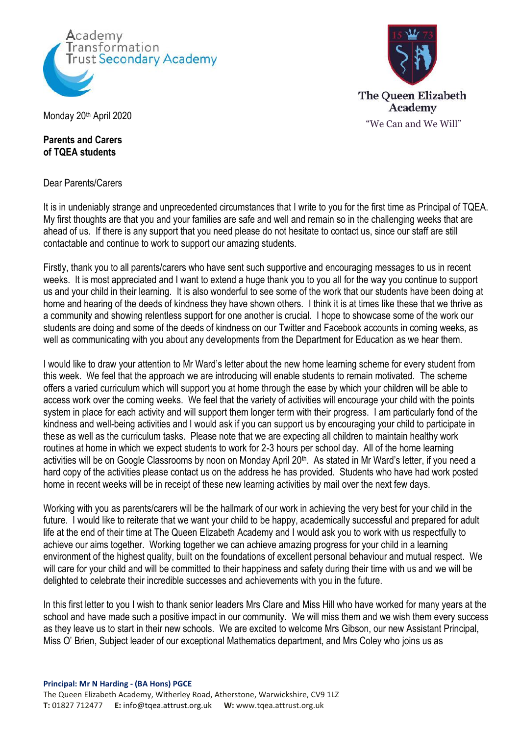



Monday 20<sup>th</sup> April 2020

## **Parents and Carers of TQEA students**

Dear Parents/Carers

It is in undeniably strange and unprecedented circumstances that I write to you for the first time as Principal of TQEA. My first thoughts are that you and your families are safe and well and remain so in the challenging weeks that are ahead of us. If there is any support that you need please do not hesitate to contact us, since our staff are still contactable and continue to work to support our amazing students.

Firstly, thank you to all parents/carers who have sent such supportive and encouraging messages to us in recent weeks. It is most appreciated and I want to extend a huge thank you to you all for the way you continue to support us and your child in their learning. It is also wonderful to see some of the work that our students have been doing at home and hearing of the deeds of kindness they have shown others. I think it is at times like these that we thrive as a community and showing relentless support for one another is crucial. I hope to showcase some of the work our students are doing and some of the deeds of kindness on our Twitter and Facebook accounts in coming weeks, as well as communicating with you about any developments from the Department for Education as we hear them.

I would like to draw your attention to Mr Ward's letter about the new home learning scheme for every student from this week. We feel that the approach we are introducing will enable students to remain motivated. The scheme offers a varied curriculum which will support you at home through the ease by which your children will be able to access work over the coming weeks. We feel that the variety of activities will encourage your child with the points system in place for each activity and will support them longer term with their progress. I am particularly fond of the kindness and well-being activities and I would ask if you can support us by encouraging your child to participate in these as well as the curriculum tasks. Please note that we are expecting all children to maintain healthy work routines at home in which we expect students to work for 2-3 hours per school day. All of the home learning activities will be on Google Classrooms by noon on Monday April 20<sup>th</sup>. As stated in Mr Ward's letter, if you need a hard copy of the activities please contact us on the address he has provided. Students who have had work posted home in recent weeks will be in receipt of these new learning activities by mail over the next few days.

Working with you as parents/carers will be the hallmark of our work in achieving the very best for your child in the future. I would like to reiterate that we want your child to be happy, academically successful and prepared for adult life at the end of their time at The Queen Elizabeth Academy and I would ask you to work with us respectfully to achieve our aims together. Working together we can achieve amazing progress for your child in a learning environment of the highest quality, built on the foundations of excellent personal behaviour and mutual respect. We will care for your child and will be committed to their happiness and safety during their time with us and we will be delighted to celebrate their incredible successes and achievements with you in the future.

In this first letter to you I wish to thank senior leaders Mrs Clare and Miss Hill who have worked for many years at the school and have made such a positive impact in our community. We will miss them and we wish them every success as they leave us to start in their new schools. We are excited to welcome Mrs Gibson, our new Assistant Principal, Miss O' Brien, Subject leader of our exceptional Mathematics department, and Mrs Coley who joins us as